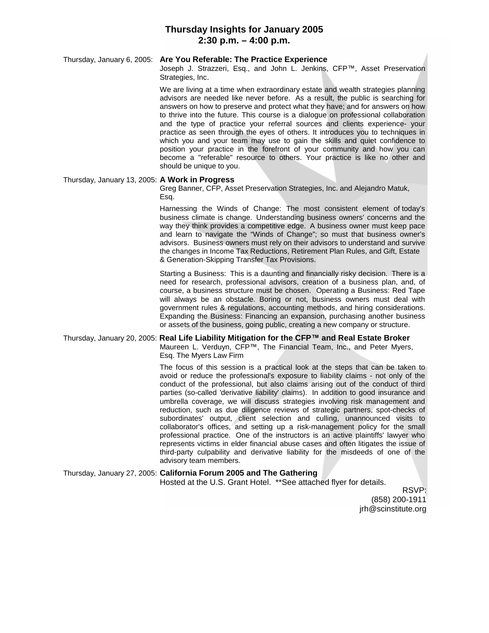### **Thursday Insights for January 2005 2:30 p.m. – 4:00 p.m.**

### Thursday, January 6, 2005: **Are You Referable: The Practice Experience**

Joseph J. Strazzeri, Esq., and John L. Jenkins, CFP™, Asset Preservation Strategies, Inc.

We are living at a time when extraordinary estate and wealth strategies planning advisors are needed like never before. As a result, the public is searching for answers on how to preserve and protect what they have; and for answers on how to thrive into the future. This course is a dialogue on professional collaboration and the type of practice your referral sources and clients experience- your practice as seen through the eyes of others. It introduces you to techniques in which you and your team may use to gain the skills and quiet confidence to position your practice in the forefront of your community and how you can become a "referable" resource to others. Your practice is like no other and should be unique to you.

#### Thursday, January 13, 2005: **A Work in Progress**

Greg Banner, CFP, Asset Preservation Strategies, Inc. and Alejandro Matuk, Esq.

Harnessing the Winds of Change: The most consistent element of today's business climate is change. Understanding business owners' concerns and the way they think provides a competitive edge. A business owner must keep pace and learn to navigate the "Winds of Change"; so must that business owner's advisors. Business owners must rely on their advisors to understand and survive the changes in Income Tax Reductions, Retirement Plan Rules, and Gift, Estate & Generation-Skipping Transfer Tax Provisions.

Starting a Business: This is a daunting and financially risky decision. There is a need for research, professional advisors, creation of a business plan, and, of course, a business structure must be chosen. Operating a Business: Red Tape will always be an obstacle. Boring or not, business owners must deal with government rules & regulations, accounting methods, and hiring considerations. Expanding the Business: Financing an expansion, purchasing another business or assets of the business, going public, creating a new company or structure.

#### Thursday, January 20, 2005: **Real Life Liability Mitigation for the CFP™ and Real Estate Broker** Maureen L. Verduyn, CFP™, The Financial Team, Inc., and Peter Myers,

Esq. The Myers Law Firm

The focus of this session is a practical look at the steps that can be taken to avoid or reduce the professional's exposure to liability claims - not only of the conduct of the professional, but also claims arising out of the conduct of third parties (so-called 'derivative liability' claims). In addition to good insurance and umbrella coverage, we will discuss strategies involving risk management and reduction, such as due diligence reviews of strategic partners, spot-checks of subordinates' output, client selection and culling, unannounced visits to collaborator's offices, and setting up a risk-management policy for the small professional practice. One of the instructors is an active plaintiffs' lawyer who represents victims in elder financial abuse cases and often litigates the issue of third-party culpability and derivative liability for the misdeeds of one of the advisory team members.

# Thursday, January 27, 2005: **California Forum 2005 and The Gathering**

Hosted at the U.S. Grant Hotel. \*\*See attached flyer for details.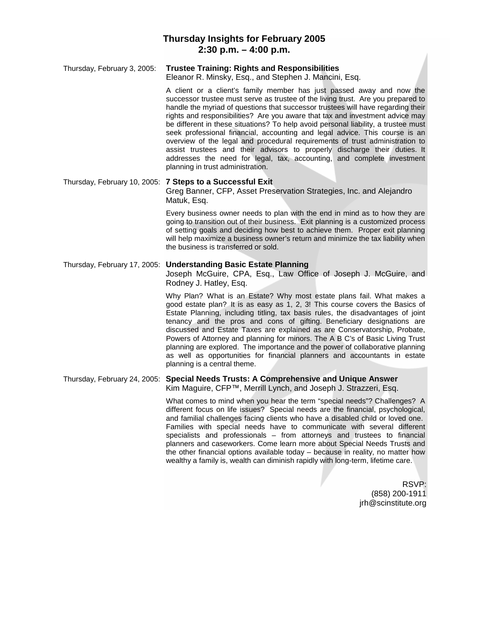## **Thursday Insights for February 2005 2:30 p.m. – 4:00 p.m.**

### Thursday, February 3, 2005: **Trustee Training: Rights and Responsibilities**

Eleanor R. Minsky, Esq., and Stephen J. Mancini, Esq.

A client or a client's family member has just passed away and now the successor trustee must serve as trustee of the living trust. Are you prepared to handle the myriad of questions that successor trustees will have regarding their rights and responsibilities? Are you aware that tax and investment advice may be different in these situations? To help avoid personal liability, a trustee must seek professional financial, accounting and legal advice. This course is an overview of the legal and procedural requirements of trust administration to assist trustees and their advisors to properly discharge their duties. It addresses the need for legal, tax, accounting, and complete investment planning in trust administration.

Thursday, February 10, 2005: **7 Steps to a Successful Exit** Greg Banner, CFP, Asset Preservation Strategies, Inc. and Alejandro Matuk, Esq.

> Every business owner needs to plan with the end in mind as to how they are going to transition out of their business. Exit planning is a customized process of setting goals and deciding how best to achieve them. Proper exit planning will help maximize a business owner's return and minimize the tax liability when the business is transferred or sold.

### Thursday, February 17, 2005: **Understanding Basic Estate Planning**

Joseph McGuire, CPA, Esq., Law Office of Joseph J. McGuire, and Rodney J. Hatley, Esq.

Why Plan? What is an Estate? Why most estate plans fail. What makes a good estate plan? It is as easy as 1, 2, 3! This course covers the Basics of Estate Planning, including titling, tax basis rules, the disadvantages of joint tenancy and the pros and cons of gifting. Beneficiary designations are discussed and Estate Taxes are explained as are Conservatorship, Probate, Powers of Attorney and planning for minors. The A B C's of Basic Living Trust planning are explored. The importance and the power of collaborative planning as well as opportunities for financial planners and accountants in estate planning is a central theme.

#### Thursday, February 24, 2005: **Special Needs Trusts: A Comprehensive and Unique Answer** Kim Maguire, CFP™, Merrill Lynch, and Joseph J. Strazzeri, Esq.

What comes to mind when you hear the term "special needs"? Challenges? A different focus on life issues? Special needs are the financial, psychological, and familial challenges facing clients who have a disabled child or loved one. Families with special needs have to communicate with several different specialists and professionals – from attorneys and trustees to financial planners and caseworkers. Come learn more about Special Needs Trusts and the other financial options available today – because in reality, no matter how wealthy a family is, wealth can diminish rapidly with long-term, lifetime care.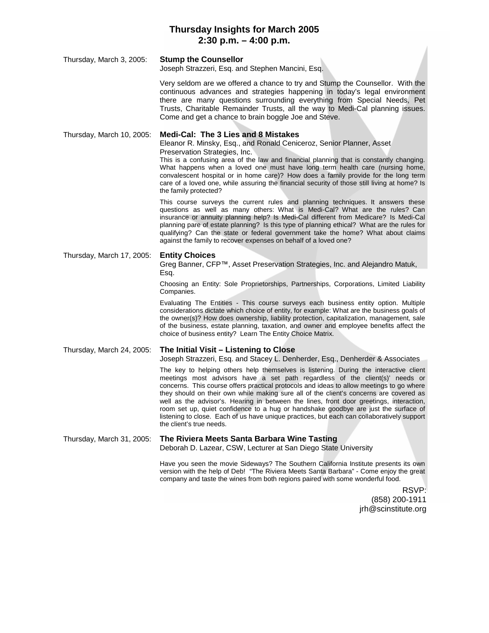# **Thursday Insights for March 2005 2:30 p.m. – 4:00 p.m.**

### Thursday, March 3, 2005: **Stump the Counsellor**

Joseph Strazzeri, Esq. and Stephen Mancini, Esq.

Very seldom are we offered a chance to try and Stump the Counsellor. With the continuous advances and strategies happening in today's legal environment there are many questions surrounding everything from Special Needs, Pet Trusts, Charitable Remainder Trusts, all the way to Medi-Cal planning issues. Come and get a chance to brain boggle Joe and Steve.

### Thursday, March 10, 2005: **Medi-Cal: The 3 Lies and 8 Mistakes**

Eleanor R. Minsky, Esq., and Ronald Ceniceroz, Senior Planner, Asset Preservation Strategies, Inc.

This is a confusing area of the law and financial planning that is constantly changing. What happens when a loved one must have long term health care (nursing home, convalescent hospital or in home care)? How does a family provide for the long term care of a loved one, while assuring the financial security of those still living at home? Is the family protected?

This course surveys the current rules and planning techniques. It answers these questions as well as many others: What is Medi-Cal? What are the rules? Can insurance or annuity planning help? Is Medi-Cal different from Medicare? Is Medi-Cal planning pare of estate planning? Is this type of planning ethical? What are the rules for qualifying? Can the state or federal government take the home? What about claims against the family to recover expenses on behalf of a loved one?

### Thursday, March 17, 2005: **Entity Choices**

Greg Banner, CFP™, Asset Preservation Strategies, Inc. and Alejandro Matuk, Esq.

Choosing an Entity: Sole Proprietorships, Partnerships, Corporations, Limited Liability Companies.

Evaluating The Entities - This course surveys each business entity option. Multiple considerations dictate which choice of entity, for example: What are the business goals of the owner(s)? How does ownership, liability protection, capitalization, management, sale of the business, estate planning, taxation, and owner and employee benefits affect the choice of business entity? Learn The Entity Choice Matrix.

### Thursday, March 24, 2005: **The Initial Visit – Listening to Close**

Joseph Strazzeri, Esq. and Stacey L. Denherder, Esq., Denherder & Associates

The key to helping others help themselves is listening. During the interactive client meetings most advisors have a set path regardless of the client(s)' needs or concerns. This course offers practical protocols and ideas to allow meetings to go where they should on their own while making sure all of the client's concerns are covered as well as the advisor's. Hearing in between the lines, front door greetings, interaction, room set up, quiet confidence to a hug or handshake goodbye are just the surface of listening to close. Each of us have unique practices, but each can collaboratively support the client's true needs.

Thursday, March 31, 2005: **The Riviera Meets Santa Barbara Wine Tasting**

Deborah D. Lazear, CSW, Lecturer at San Diego State University

Have you seen the movie Sideways? The Southern California Institute presents its own version with the help of Deb! "The Riviera Meets Santa Barbara" - Come enjoy the great company and taste the wines from both regions paired with some wonderful food.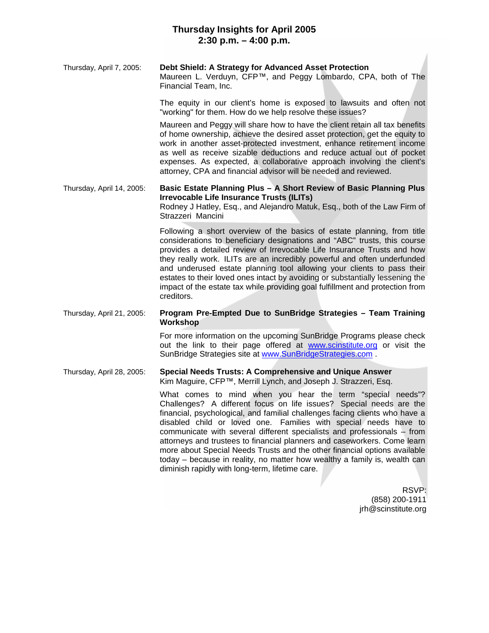# **Thursday Insights for April 2005 2:30 p.m. – 4:00 p.m.**

### Thursday, April 7, 2005: **Debt Shield: A Strategy for Advanced Asset Protection**

Maureen L. Verduyn, CFP™, and Peggy Lombardo, CPA, both of The Financial Team, Inc.

The equity in our client's home is exposed to lawsuits and often not "working" for them. How do we help resolve these issues?

Maureen and Peggy will share how to have the client retain all tax benefits of home ownership, achieve the desired asset protection, get the equity to work in another asset-protected investment, enhance retirement income as well as receive sizable deductions and reduce actual out of pocket expenses. As expected, a collaborative approach involving the client's attorney, CPA and financial advisor will be needed and reviewed.

Thursday, April 14, 2005: **Basic Estate Planning Plus – A Short Review of Basic Planning Plus Irrevocable Life Insurance Trusts (ILITs)**

Rodney J Hatley, Esq., and Alejandro Matuk, Esq., both of the Law Firm of Strazzeri Mancini

Following a short overview of the basics of estate planning, from title considerations to beneficiary designations and "ABC" trusts, this course provides a detailed review of Irrevocable Life Insurance Trusts and how they really work. ILITs are an incredibly powerful and often underfunded and underused estate planning tool allowing your clients to pass their estates to their loved ones intact by avoiding or substantially lessening the impact of the estate tax while providing goal fulfillment and protection from creditors.

Thursday, April 21, 2005: **Program Pre-Empted Due to SunBridge Strategies – Team Training Workshop**

> For more information on the upcoming SunBridge Programs please check out the link to their page offered at www.scinstitute.org or visit the SunBridge Strategies site at www.SunBridgeStrategies.com .

#### Thursday, April 28, 2005: **Special Needs Trusts: A Comprehensive and Unique Answer** Kim Maguire, CFP™, Merrill Lynch, and Joseph J. Strazzeri, Esq.

What comes to mind when you hear the term "special needs"? Challenges? A different focus on life issues? Special needs are the financial, psychological, and familial challenges facing clients who have a disabled child or loved one. Families with special needs have to communicate with several different specialists and professionals – from attorneys and trustees to financial planners and caseworkers. Come learn more about Special Needs Trusts and the other financial options available today – because in reality, no matter how wealthy a family is, wealth can diminish rapidly with long-term, lifetime care.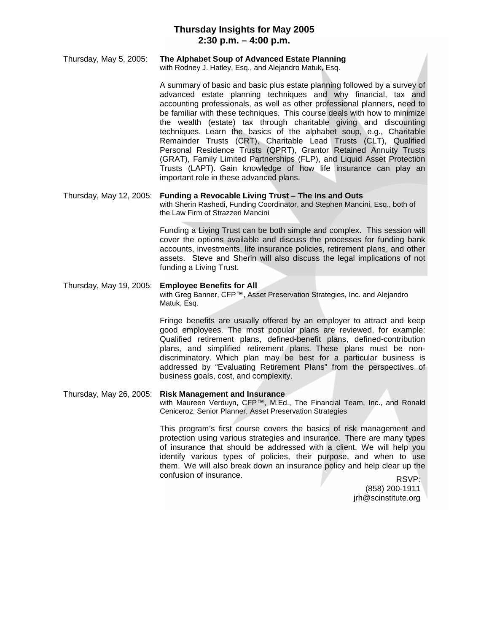# **Thursday Insights for May 2005 2:30 p.m. – 4:00 p.m.**

# Thursday, May 5, 2005: **The Alphabet Soup of Advanced Estate Planning**

with Rodney J. Hatley, Esq., and Alejandro Matuk, Esq.

A summary of basic and basic plus estate planning followed by a survey of advanced estate planning techniques and why financial, tax and accounting professionals, as well as other professional planners, need to be familiar with these techniques. This course deals with how to minimize the wealth (estate) tax through charitable giving and discounting techniques. Learn the basics of the alphabet soup, e.g., Charitable Remainder Trusts (CRT), Charitable Lead Trusts (CLT), Qualified Personal Residence Trusts (QPRT), Grantor Retained Annuity Trusts (GRAT), Family Limited Partnerships (FLP), and Liquid Asset Protection Trusts (LAPT). Gain knowledge of how life insurance can play an important role in these advanced plans.

Thursday, May 12, 2005: **Funding a Revocable Living Trust – The Ins and Outs** with Sherin Rashedi, Funding Coordinator, and Stephen Mancini, Esq., both of the Law Firm of Strazzeri Mancini

> Funding a Living Trust can be both simple and complex. This session will cover the options available and discuss the processes for funding bank accounts, investments, life insurance policies, retirement plans, and other assets. Steve and Sherin will also discuss the legal implications of not funding a Living Trust.

### Thursday, May 19, 2005: **Employee Benefits for All** with Greg Banner, CFP™, Asset Preservation Strategies, Inc. and Alejandro Matuk, Esq.

Fringe benefits are usually offered by an employer to attract and keep good employees. The most popular plans are reviewed, for example: Qualified retirement plans, defined-benefit plans, defined-contribution plans, and simplified retirement plans. These plans must be nondiscriminatory. Which plan may be best for a particular business is addressed by "Evaluating Retirement Plans" from the perspectives of business goals, cost, and complexity.

Thursday, May 26, 2005: **Risk Management and Insurance** with Maureen Verduyn, CFP™, M.Ed., The Financial Team, Inc., and Ronald Ceniceroz, Senior Planner, Asset Preservation Strategies

> This program's first course covers the basics of risk management and protection using various strategies and insurance. There are many types of insurance that should be addressed with a client. We will help you identify various types of policies, their purpose, and when to use them. We will also break down an insurance policy and help clear up the confusion of insurance.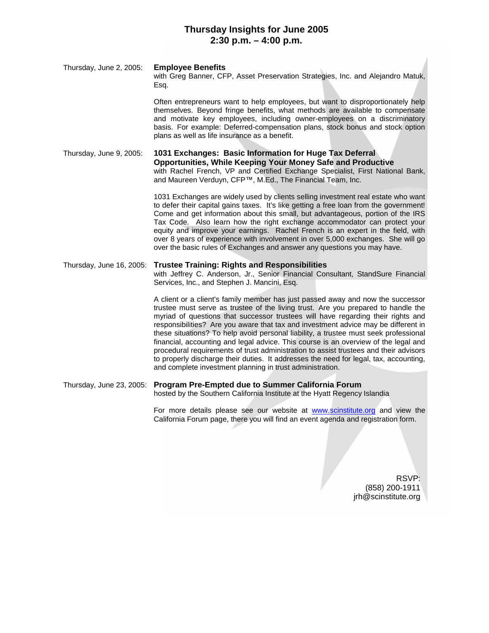# **Thursday Insights for June 2005 2:30 p.m. – 4:00 p.m.**

Thursday, June 2, 2005: **Employee Benefits** with Greg Banner, CFP, Asset Preservation Strategies, Inc. and Alejandro Matuk, Esq.

> Often entrepreneurs want to help employees, but want to disproportionately help themselves. Beyond fringe benefits, what methods are available to compensate and motivate key employees, including owner-employees on a discriminatory basis. For example: Deferred-compensation plans, stock bonus and stock option plans as well as life insurance as a benefit.

Thursday, June 9, 2005: **1031 Exchanges: Basic Information for Huge Tax Deferral Opportunities, While Keeping Your Money Safe and Productive** with Rachel French, VP and Certified Exchange Specialist, First National Bank, and Maureen Verduyn, CFP™, M.Ed., The Financial Team, Inc.

> 1031 Exchanges are widely used by clients selling investment real estate who want to defer their capital gains taxes. It's like getting a free loan from the government! Come and get information about this small, but advantageous, portion of the IRS Tax Code. Also learn how the right exchange accommodator can protect your equity and improve your earnings. Rachel French is an expert in the field, with over 8 years of experience with involvement in over 5,000 exchanges. She will go over the basic rules of Exchanges and answer any questions you may have.

#### Thursday, June 16, 2005: **Trustee Training: Rights and Responsibilities** with Jeffrey C. Anderson, Jr., Senior Financial Consultant, StandSure Financial Services, Inc., and Stephen J. Mancini, Esq.

A client or a client's family member has just passed away and now the successor trustee must serve as trustee of the living trust. Are you prepared to handle the myriad of questions that successor trustees will have regarding their rights and responsibilities? Are you aware that tax and investment advice may be different in these situations? To help avoid personal liability, a trustee must seek professional financial, accounting and legal advice. This course is an overview of the legal and procedural requirements of trust administration to assist trustees and their advisors to properly discharge their duties. It addresses the need for legal, tax, accounting, and complete investment planning in trust administration.

Thursday, June 23, 2005: **Program Pre-Empted due to Summer California Forum** hosted by the Southern California Institute at the Hyatt Regency Islandia

> For more details please see our website at www.scinstitute.org and view the California Forum page, there you will find an event agenda and registration form.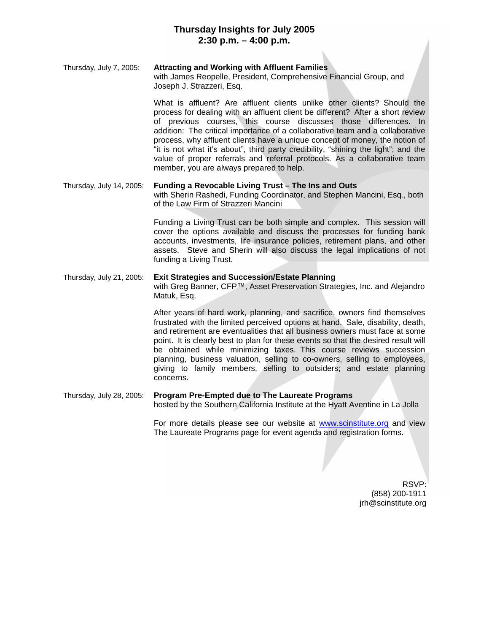# **Thursday Insights for July 2005 2:30 p.m. – 4:00 p.m.**

#### Thursday, July 7, 2005: **Attracting and Working with Affluent Families**

with James Reopelle, President, Comprehensive Financial Group, and Joseph J. Strazzeri, Esq.

What is affluent? Are affluent clients unlike other clients? Should the process for dealing with an affluent client be different? After a short review of previous courses, this course discusses those differences. In addition: The critical importance of a collaborative team and a collaborative process, why affluent clients have a unique concept of money, the notion of "it is not what it's about", third party credibility, "shining the light"; and the value of proper referrals and referral protocols. As a collaborative team member, you are always prepared to help.

### Thursday, July 14, 2005: **Funding a Revocable Living Trust – The Ins and Outs** with Sherin Rashedi, Funding Coordinator, and Stephen Mancini, Esq., both of the Law Firm of Strazzeri Mancini

Funding a Living Trust can be both simple and complex. This session will cover the options available and discuss the processes for funding bank accounts, investments, life insurance policies, retirement plans, and other assets. Steve and Sherin will also discuss the legal implications of not funding a Living Trust.

### Thursday, July 21, 2005: **Exit Strategies and Succession/Estate Planning**

with Greg Banner, CFP™, Asset Preservation Strategies, Inc. and Alejandro Matuk, Esq.

After years of hard work, planning, and sacrifice, owners find themselves frustrated with the limited perceived options at hand. Sale, disability, death, and retirement are eventualities that all business owners must face at some point. It is clearly best to plan for these events so that the desired result will be obtained while minimizing taxes. This course reviews succession planning, business valuation, selling to co-owners, selling to employees, giving to family members, selling to outsiders; and estate planning concerns.

## Thursday, July 28, 2005: **Program Pre-Empted due to The Laureate Programs**

hosted by the Southern California Institute at the Hyatt Aventine in La Jolla

For more details please see our website at www.scinstitute.org and view The Laureate Programs page for event agenda and registration forms.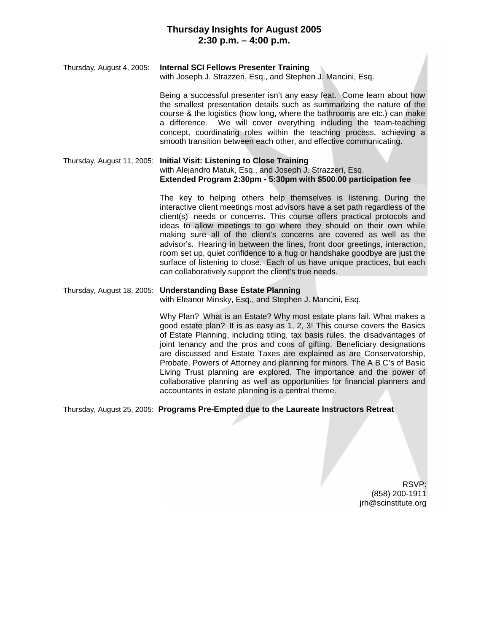# **Thursday Insights for August 2005 2:30 p.m. – 4:00 p.m.**

### Thursday, August 4, 2005: **Internal SCI Fellows Presenter Training**

with Joseph J. Strazzeri, Esq., and Stephen J. Mancini, Esq.

Being a successful presenter isn't any easy feat. Come learn about how the smallest presentation details such as summarizing the nature of the course & the logistics (how long, where the bathrooms are etc.) can make a difference. We will cover everything including the team-teaching concept, coordinating roles within the teaching process, achieving a smooth transition between each other, and effective communicating.

Thursday, August 11, 2005: **Initial Visit: Listening to Close Training** with Alejandro Matuk, Esq., and Joseph J. Strazzeri, Esq. **Extended Program 2:30pm - 5:30pm with \$500.00 participation fee**

> The key to helping others help themselves is listening. During the interactive client meetings most advisors have a set path regardless of the client(s)' needs or concerns. This course offers practical protocols and ideas to allow meetings to go where they should on their own while making sure all of the client's concerns are covered as well as the advisor's. Hearing in between the lines, front door greetings, interaction, room set up, quiet confidence to a hug or handshake goodbye are just the surface of listening to close. Each of us have unique practices, but each can collaboratively support the client's true needs.

### Thursday, August 18, 2005: **Understanding Base Estate Planning**

with Eleanor Minsky, Esq., and Stephen J. Mancini, Esq.

Why Plan? What is an Estate? Why most estate plans fail. What makes a good estate plan? It is as easy as 1, 2, 3! This course covers the Basics of Estate Planning, including titling, tax basis rules, the disadvantages of joint tenancy and the pros and cons of gifting. Beneficiary designations are discussed and Estate Taxes are explained as are Conservatorship, Probate, Powers of Attorney and planning for minors. The A B C's of Basic Living Trust planning are explored. The importance and the power of collaborative planning as well as opportunities for financial planners and accountants in estate planning is a central theme.

Thursday, August 25, 2005: **Programs Pre-Empted due to the Laureate Instructors Retreat**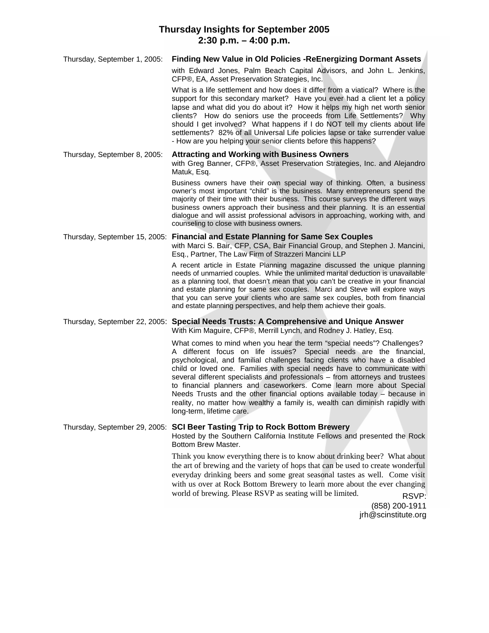## **Thursday Insights for September 2005 2:30 p.m. – 4:00 p.m.**

| Thursday, September 1, 2005: | <b>Finding New Value in Old Policies -ReEnergizing Dormant Assets</b>                                                                                                                                                                                                                                                                                                                                                                                                                                                                                                                                                                                       |
|------------------------------|-------------------------------------------------------------------------------------------------------------------------------------------------------------------------------------------------------------------------------------------------------------------------------------------------------------------------------------------------------------------------------------------------------------------------------------------------------------------------------------------------------------------------------------------------------------------------------------------------------------------------------------------------------------|
|                              | with Edward Jones, Palm Beach Capital Advisors, and John L. Jenkins,<br>CFP®, EA, Asset Preservation Strategies, Inc.                                                                                                                                                                                                                                                                                                                                                                                                                                                                                                                                       |
|                              | What is a life settlement and how does it differ from a viatical? Where is the<br>support for this secondary market? Have you ever had a client let a policy<br>lapse and what did you do about it? How it helps my high net worth senior<br>clients? How do seniors use the proceeds from Life Settlements? Why<br>should I get involved? What happens if I do NOT tell my clients about life<br>settlements? 82% of all Universal Life policies lapse or take surrender value<br>- How are you helping your senior clients before this happens?                                                                                                           |
| Thursday, September 8, 2005: | <b>Attracting and Working with Business Owners</b><br>with Greg Banner, CFP®, Asset Preservation Strategies, Inc. and Alejandro<br>Matuk, Esq.                                                                                                                                                                                                                                                                                                                                                                                                                                                                                                              |
|                              | Business owners have their own special way of thinking. Often, a business<br>owner's most important "child" is the business. Many entrepreneurs spend the<br>majority of their time with their business. This course surveys the different ways<br>business owners approach their business and their planning. It is an essential<br>dialogue and will assist professional advisors in approaching, working with, and<br>counseling to close with business owners.                                                                                                                                                                                          |
|                              | Thursday, September 15, 2005: Financial and Estate Planning for Same Sex Couples<br>with Marci S. Bair, CFP, CSA, Bair Financial Group, and Stephen J. Mancini,<br>Esq., Partner, The Law Firm of Strazzeri Mancini LLP                                                                                                                                                                                                                                                                                                                                                                                                                                     |
|                              | A recent article in Estate Planning magazine discussed the unique planning<br>needs of unmarried couples. While the unlimited marital deduction is unavailable<br>as a planning tool, that doesn't mean that you can't be creative in your financial<br>and estate planning for same sex couples. Marci and Steve will explore ways<br>that you can serve your clients who are same sex couples, both from financial<br>and estate planning perspectives, and help them achieve their goals.                                                                                                                                                                |
|                              | Thursday, September 22, 2005: Special Needs Trusts: A Comprehensive and Unique Answer<br>With Kim Maguire, CFP®, Merrill Lynch, and Rodney J. Hatley, Esq.                                                                                                                                                                                                                                                                                                                                                                                                                                                                                                  |
|                              | What comes to mind when you hear the term "special needs"? Challenges?<br>A different focus on life issues?<br>Special needs are the financial,<br>psychological, and familial challenges facing clients who have a disabled<br>child or loved one. Families with special needs have to communicate with<br>several different specialists and professionals - from attorneys and trustees<br>to financial planners and caseworkers. Come learn more about Special<br>Needs Trusts and the other financial options available today – because in<br>reality, no matter how wealthy a family is, wealth can diminish rapidly with<br>long-term, lifetime care. |
|                              | Thursday, September 29, 2005: SCI Beer Tasting Trip to Rock Bottom Brewery<br>Hosted by the Southern California Institute Fellows and presented the Rock<br>Bottom Brew Master.                                                                                                                                                                                                                                                                                                                                                                                                                                                                             |
|                              | Think you know everything there is to know about drinking beer? What about<br>the art of brewing and the variety of hops that can be used to create wonderful<br>everyday drinking beers and some great seasonal tastes as well. Come visit<br>with us over at Rock Bottom Brewery to learn more about the ever changing<br>world of brewing. Please RSVP as seating will be limited.<br>RSVP:<br>(858) 200-1911                                                                                                                                                                                                                                            |
|                              | jrh@scinstitute.org                                                                                                                                                                                                                                                                                                                                                                                                                                                                                                                                                                                                                                         |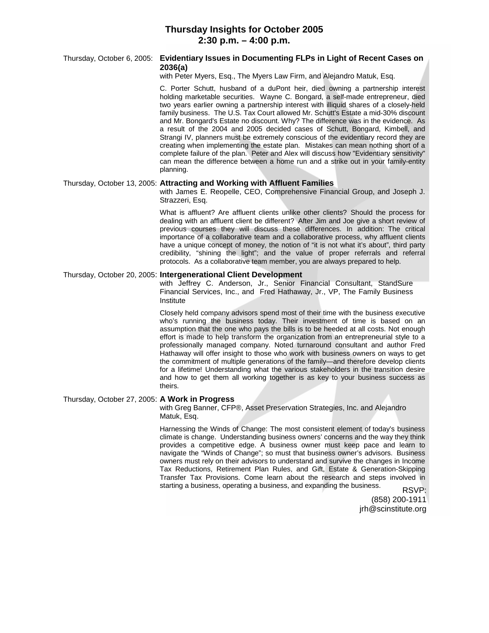### **Thursday Insights for October 2005 2:30 p.m. – 4:00 p.m.**

### Thursday, October 6, 2005: **Evidentiary Issues in Documenting FLPs in Light of Recent Cases on 2036(a)**

with Peter Myers, Esq., The Myers Law Firm, and Alejandro Matuk, Esq.

C. Porter Schutt, husband of a duPont heir, died owning a partnership interest holding marketable securities. Wayne C. Bongard, a self-made entrepreneur, died two years earlier owning a partnership interest with illiquid shares of a closely-held family business. The U.S. Tax Court allowed Mr. Schutt's Estate a mid-30% discount and Mr. Bongard's Estate no discount. Why? The difference was in the evidence. As a result of the 2004 and 2005 decided cases of Schutt, Bongard, Kimbell, and Strangi IV, planners must be extremely conscious of the evidentiary record they are creating when implementing the estate plan. Mistakes can mean nothing short of a complete failure of the plan. Peter and Alex will discuss how "Evidentiary sensitivity" can mean the difference between a home run and a strike out in your family-entity planning.

#### Thursday, October 13, 2005: **Attracting and Working with Affluent Families**

with James E. Reopelle, CEO, Comprehensive Financial Group, and Joseph J. Strazzeri, Esq.

What is affluent? Are affluent clients unlike other clients? Should the process for dealing with an affluent client be different? After Jim and Joe give a short review of previous courses they will discuss these differences. In addition: The critical importance of a collaborative team and a collaborative process, why affluent clients have a unique concept of money, the notion of "it is not what it's about", third party credibility, "shining the light"; and the value of proper referrals and referral protocols. As a collaborative team member, you are always prepared to help.

#### Thursday, October 20, 2005: **Intergenerational Client Development**

with Jeffrey C. Anderson, Jr., Senior Financial Consultant, StandSure Financial Services, Inc., and Fred Hathaway, Jr., VP, The Family Business Institute

Closely held company advisors spend most of their time with the business executive who's running the business today. Their investment of time is based on an assumption that the one who pays the bills is to be heeded at all costs. Not enough effort is made to help transform the organization from an entrepreneurial style to a professionally managed company. Noted turnaround consultant and author Fred Hathaway will offer insight to those who work with business owners on ways to get the commitment of multiple generations of the family—and therefore develop clients for a lifetime! Understanding what the various stakeholders in the transition desire and how to get them all working together is as key to your business success as theirs.

#### Thursday, October 27, 2005: **A Work in Progress**

with Greg Banner, CFP®, Asset Preservation Strategies, Inc. and Alejandro Matuk, Esq.

Harnessing the Winds of Change: The most consistent element of today's business climate is change. Understanding business owners' concerns and the way they think provides a competitive edge. A business owner must keep pace and learn to navigate the "Winds of Change"; so must that business owner's advisors. Business owners must rely on their advisors to understand and survive the changes in Income Tax Reductions, Retirement Plan Rules, and Gift, Estate & Generation-Skipping Transfer Tax Provisions. Come learn about the research and steps involved in starting a business, operating a business, and expanding the business. RSVP: